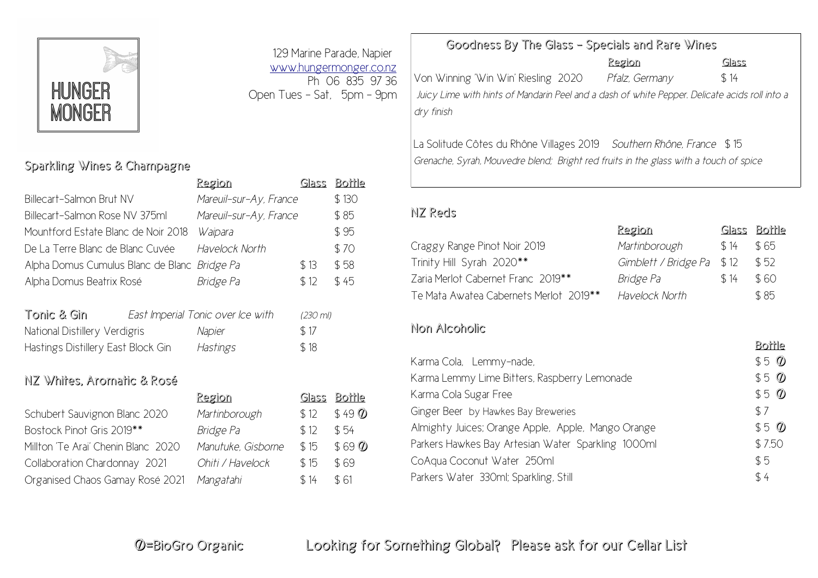

## Sparkling Wines & Champagne

|                                     | <u>Region</u>                     | Glass    | <b>Bottle</b> |
|-------------------------------------|-----------------------------------|----------|---------------|
| Billecart-Salmon Brut NV            | Mareuil-sur-Ay, France            |          | \$130         |
| Billecart-Salmon Rose NV 375ml      | Mareuil-sur-Ay, France            |          | \$85          |
| Mountford Estate Blanc de Noir 2018 | Waipara                           |          | \$95          |
| De La Terre Blanc de Blanc Cuvée    | Havelock North                    |          | \$70          |
| Alpha Domus Cumulus Blanc de Blanc  | Bridge Pa                         | \$13     | \$58          |
| Alpha Domus Beatrix Rosé            | Bridge Pa                         | \$12     | \$45          |
|                                     |                                   |          |               |
| Tonic & Gin                         | East Imperial Tonic over Ice with | (230 ml) |               |
| National Distillery Verdigris       | Napier                            | \$17     |               |
| Hastings Distillery East Block Gin  | Hastings                          | \$18     |               |
|                                     |                                   |          |               |
| NZ Whites, Aromatic & Rosé          |                                   |          |               |
|                                     | Region                            | Glass    | BО<br>rle     |

| Schubert Sauvignon Blanc 2020       | Martinborough      | \$12 | \$49 |
|-------------------------------------|--------------------|------|------|
| Bostock Pinot Gris 2019**           | Bridge Pa          | \$12 | \$54 |
| Millton 'Te Arai' Chenin Blanc 2020 | Manutuke, Gisborne | \$15 | \$69 |
| Collaboration Chardonnay 2021       | Ohiti / Havelock   | \$15 | \$69 |
| Organised Chaos Gamay Rosé 2021     | Mangatahi          | \$14 | \$61 |

129 Marine Parade, Napier [www.hungermonger.co.nz](http://www.hungermonger.co.nz/) Ph 06 835 97 36 Open Tues – Sat, 5pm – 9pm

Martinborough  $$ 12 \quad $49$  <sup>*T*</sup> Bridge Pa  $$12$  \$ 54 Manutuke, Gisborne \$ 15 \$ 69 **W** Collaboration Chardonnay 2021 *Ohiti / Havelock* \$ 15 \$ 69

## Goodness By The Glass – Specials and Rare Wines

Region Glass Von Winning 'Win Win' Riesling 2020 Pfalz, Germany \$14 *Juicy Lime with hints of Mandarin Peel and a dash of white Pepper. Delicate acids roll into a dry finish*

La Solitude Côtes du Rhône Villages 2019 *Southern Rhône, France* \$ 15 *Grenache, Syrah, Mouvedre blend; Bright red fruits in the glass with a touch of spice*

## NZ Reds

|                                        | 7221an                    |      | <u>argas ranne</u> |
|----------------------------------------|---------------------------|------|--------------------|
| Craggy Range Pinot Noir 2019           | Martinborough             | \$14 | \$65               |
| Trinity Hill Syrah 2020**              | Gimblett / Bridge Pa \$12 |      | \$ 52              |
| Zaria Merlot Cabernet Franc 2019**     | Bridge Pa                 | \$14 | \$60               |
| Te Mata Awatea Cabernets Merlot 2019** | Havelock North            |      | \$85               |

Region Glass Bottle

Bottle

## Non Alcoholic

|                                                    | pouve           |
|----------------------------------------------------|-----------------|
| Karma Cola, Lemmy-nade,                            | $$5\,\degree\,$ |
| Karma Lemmy Lime Bitters, Raspberry Lemonade       | $$5\,\degree\,$ |
| Karma Cola Sugar Free                              | $$5\,\degree$   |
| Ginger Beer by Hawkes Bay Breweries                | \$7             |
| Almighty Juices; Orange Apple, Apple, Mango Orange | $$5\,\degree$   |
| Parkers Hawkes Bay Artesian Water Sparkling 1000ml | \$7.50          |
| CoAqua Coconut Water 250ml                         | \$5             |
| Parkers Water 330ml; Sparkling, Still              | \$4             |
|                                                    |                 |